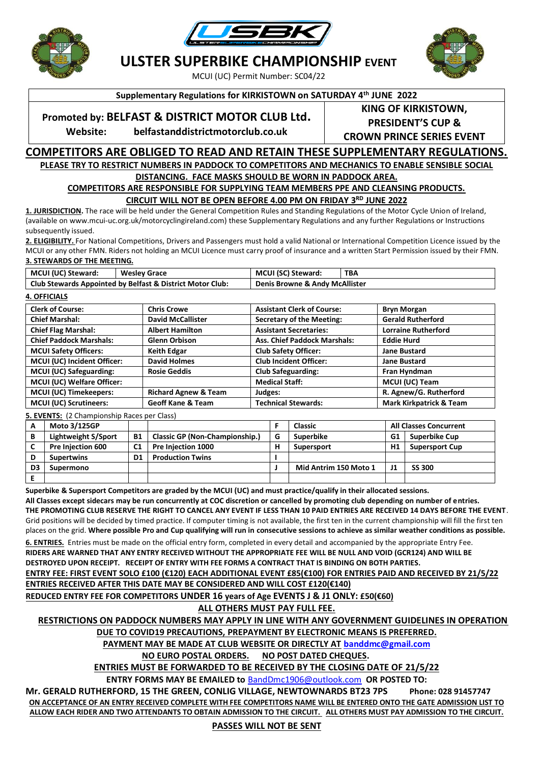





**ULSTER SUPERBIKE CHAMPIONSHIP EVENT**

MCUI (UC) Permit Number: SC04/22

**Supplementary Regulations for KIRKISTOWN on SATURDAY 4th JUNE 2022**

## **Promoted by: BELFAST & DISTRICT MOTOR CLUB Ltd.**

**Website: belfastanddistrictmotorclub.co.uk**

**KING OF KIRKISTOWN, PRESIDENT'S CUP & CROWN PRINCE SERIES EVENT**

### **COMPETITORS ARE OBLIGED TO READ AND RETAIN THESE SUPPLEMENTARY REGULATIONS. PLEASE TRY TO RESTRICT NUMBERS IN PADDOCK TO COMPETITORS AND MECHANICS TO ENABLE SENSIBLE SOCIAL**

# **DISTANCING. FACE MASKS SHOULD BE WORN IN PADDOCK AREA.**

**COMPETITORS ARE RESPONSIBLE FOR SUPPLYING TEAM MEMBERS PPE AND CLEANSING PRODUCTS.**

**CIRCUIT WILL NOT BE OPEN BEFORE 4.00 PM ON FRIDAY 3RD JUNE 2022**

**1. JURISDICTION.** The race will be held under the General Competition Rules and Standing Regulations of the Motor Cycle Union of Ireland, (available on www.mcui-uc.org.uk/motorcyclingireland.com) these Supplementary Regulations and any further Regulations or Instructions subsequently issued.

**2. ELIGIBILITY.** For National Competitions, Drivers and Passengers must hold a valid National or International Competition Licence issued by the MCUI or any other FMN. Riders not holding an MCUI Licence must carry proof of insurance and a written Start Permission issued by their FMN. **3. STEWARDS OF THE MEETING.**

| MCUI (UC) Steward:                                        | <b>Wesley Grace</b> | MCUI (SC) Steward:             | TBA |  |
|-----------------------------------------------------------|---------------------|--------------------------------|-----|--|
| Club Stewards Appointed by Belfast & District Motor Club: |                     | Denis Browne & Andy McAllister |     |  |

#### **4. OFFICIALS**

| <b>Clerk of Course:</b>        | <b>Chris Crowe</b>              | <b>Assistant Clerk of Course:</b>   | <b>Bryn Morgan</b>                 |
|--------------------------------|---------------------------------|-------------------------------------|------------------------------------|
| <b>Chief Marshal:</b>          | <b>David McCallister</b>        | <b>Secretary of the Meeting:</b>    | <b>Gerald Rutherford</b>           |
| <b>Chief Flag Marshal:</b>     | <b>Albert Hamilton</b>          | <b>Assistant Secretaries:</b>       | <b>Lorraine Rutherford</b>         |
| <b>Chief Paddock Marshals:</b> | <b>Glenn Orbison</b>            | <b>Ass. Chief Paddock Marshals:</b> | <b>Eddie Hurd</b>                  |
| <b>MCUI Safety Officers:</b>   | <b>Keith Edgar</b>              | <b>Club Safety Officer:</b>         | <b>Jane Bustard</b>                |
| MCUI (UC) Incident Officer:    | <b>David Holmes</b>             | <b>Club Incident Officer:</b>       | <b>Jane Bustard</b>                |
| MCUI (UC) Safeguarding:        | <b>Rosie Geddis</b>             | <b>Club Safeguarding:</b>           | Fran Hyndman                       |
| MCUI (UC) Welfare Officer:     |                                 | <b>Medical Staff:</b>               | MCUI (UC) Team                     |
| <b>MCUI (UC) Timekeepers:</b>  | <b>Richard Agnew &amp; Team</b> | Judges:                             | R. Agnew/G. Rutherford             |
| MCUI (UC) Scrutineers:         | <b>Geoff Kane &amp; Team</b>    | <b>Technical Stewards:</b>          | <b>Mark Kirkpatrick &amp; Team</b> |
|                                |                                 |                                     |                                    |

**5. EVENTS:** (2 Championship Races per Class)

| А  | <b>Moto 3/125GP</b>        |                |                                       |   | Classic               | <b>All Classes Concurrent</b> |                       |
|----|----------------------------|----------------|---------------------------------------|---|-----------------------|-------------------------------|-----------------------|
| в  | <b>Lightweight S/Sport</b> | <b>B1</b>      | <b>Classic GP (Non-Championship.)</b> | G | Superbike             | G1                            | <b>Superbike Cup</b>  |
|    | Pre Injection 600          | C <sub>1</sub> | Pre Injection 1000                    | н | Supersport            | H1                            | <b>Supersport Cup</b> |
| D  | <b>Supertwins</b>          | D1             | <b>Production Twins</b>               |   |                       |                               |                       |
| D3 | Supermono                  |                |                                       |   | Mid Antrim 150 Moto 1 |                               | <b>SS 300</b>         |
|    |                            |                |                                       |   |                       |                               |                       |

**Superbike & Supersport Competitors are graded by the MCUI (UC) and must practice/qualify in their allocated sessions. All Classes except sidecars may be run concurrently at COC discretion or cancelled by promoting club depending on number of entries. THE PROMOTING CLUB RESERVE THE RIGHT TO CANCEL ANY EVENT IF LESS THAN 10 PAID ENTRIES ARE RECEIVED 14 DAYS BEFORE THE EVENT**. Grid positions will be decided by timed practice. If computer timing is not available, the first ten in the current championship will fill the first ten places on the grid. **Where possible Pro and Cup qualifying will run in consecutive sessions to achieve as similar weather conditions as possible.** 

**6. ENTRIES.** Entries must be made on the official entry form, completed in every detail and accompanied by the appropriate Entry Fee. **RIDERS ARE WARNED THAT ANY ENTRY RECEIVED WITHOUT THE APPROPRIATE FEE WILL BE NULL AND VOID (GCR124) AND WILL BE DESTROYED UPON RECEIPT. RECEIPT OF ENTRY WITH FEE FORMS A CONTRACT THAT IS BINDING ON BOTH PARTIES.** 

**ENTRY FEE: FIRST EVENT SOLO £100 (€120) EACH ADDITIONAL EVENT £85(€100) FOR ENTRIES PAID AND RECEIVED BY 21/5/22**

**ENTRIES RECEIVED AFTER THIS DATE MAY BE CONSIDERED AND WILL COST £120(€140)**

**REDUCED ENTRY FEE FOR COMPETITORS UNDER 16 years of Age EVENTS J & J1 ONLY: £50(€60)**

**ALL OTHERS MUST PAY FULL FEE.**

**RESTRICTIONS ON PADDOCK NUMBERS MAY APPLY IN LINE WITH ANY GOVERNMENT GUIDELINES IN OPERATION DUE TO COVID19 PRECAUTIONS, PREPAYMENT BY ELECTRONIC MEANS IS PREFERRED.**

**PAYMENT MAY BE MADE AT CLUB WEBSITE OR DIRECTLY AT [banddmc@gmail.com](mailto:banddmc@gmail.com)**

**NO EURO POSTAL ORDERS. NO POST DATED CHEQUES.**

**ENTRIES MUST BE FORWARDED TO BE RECEIVED BY THE CLOSING DATE OF 21/5/22**

**ENTRY FORMS MAY BE EMAILED to** [BandDmc1906@outlook.com](mailto:BandDmc1906@outlook.com) **OR POSTED TO:**

**Mr. GERALD RUTHERFORD, 15 THE GREEN, CONLIG VILLAGE, NEWTOWNARDS BT23 7PS Phone: 028 91457747 ON ACCEPTANCE OF AN ENTRY RECEIVED COMPLETE WITH FEE COMPETITORS NAME WILL BE ENTERED ONTO THE GATE ADMISSION LIST TO ALLOW EACH RIDER AND TWO ATTENDANTS TO OBTAIN ADMISSION TO THE CIRCUIT. ALL OTHERS MUST PAY ADMISSION TO THE CIRCUIT.**